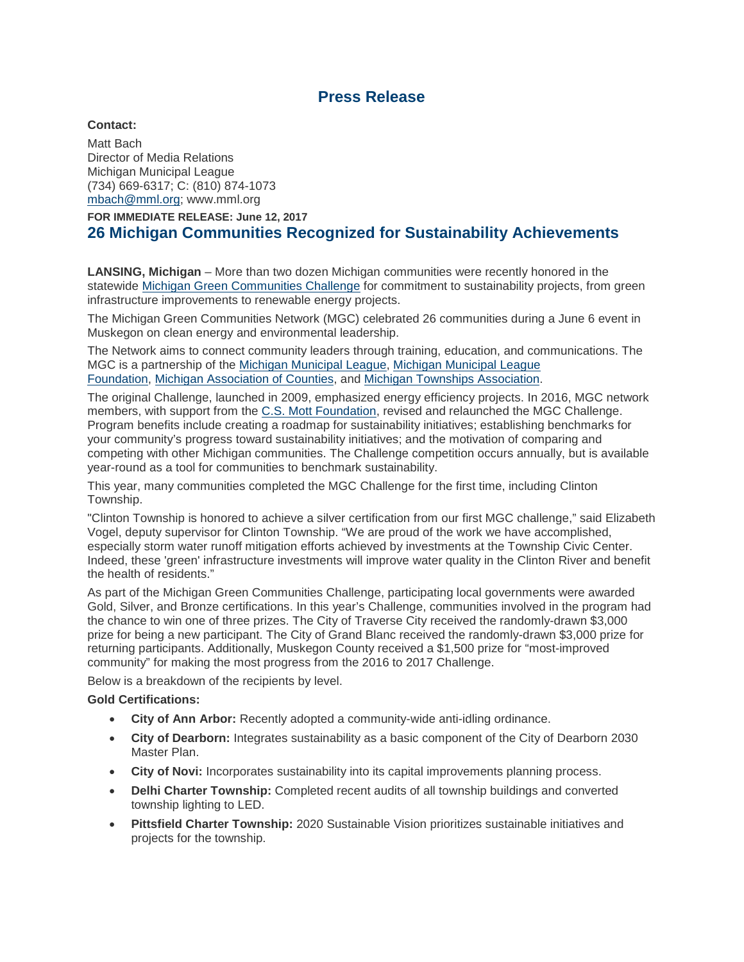# **Press Release**

### **Contact:**

Matt Bach Director of Media Relations Michigan Municipal League (734) 669-6317; C: (810) 874-1073 [mbach@mml.org;](mailto:mbach@mml.org) www.mml.org

**FOR IMMEDIATE RELEASE: June 12, 2017 26 Michigan Communities Recognized for Sustainability Achievements**

**LANSING, Michigan** – More than two dozen Michigan communities were recently honored in the statewide [Michigan Green Communities Challenge](http://migreencommunities.com/) for commitment to sustainability projects, from green infrastructure improvements to renewable energy projects.

The Michigan Green Communities Network (MGC) celebrated 26 communities during a June 6 event in Muskegon on clean energy and environmental leadership.

The Network aims to connect community leaders through training, education, and communications. The MGC is a partnership of the [Michigan Municipal League,](http://www.mml.org/home.html) Michigan [Municipal League](http://www.mmlfoundation.org/)  [Foundation,](http://www.mmlfoundation.org/) [Michigan Association of Counties,](http://www.micounties.org/) and [Michigan Townships Association.](https://www.michigantownships.org/)

The original Challenge, launched in 2009, emphasized energy efficiency projects. In 2016, MGC network members, with support from the [C.S. Mott Foundation,](http://www.mott.org/) revised and relaunched the MGC Challenge. Program benefits include creating a roadmap for sustainability initiatives; establishing benchmarks for your community's progress toward sustainability initiatives; and the motivation of comparing and competing with other Michigan communities. The Challenge competition occurs annually, but is available year-round as a tool for communities to benchmark sustainability.

This year, many communities completed the MGC Challenge for the first time, including Clinton Township.

"Clinton Township is honored to achieve a silver certification from our first MGC challenge," said Elizabeth Vogel, deputy supervisor for Clinton Township. "We are proud of the work we have accomplished, especially storm water runoff mitigation efforts achieved by investments at the Township Civic Center. Indeed, these 'green' infrastructure investments will improve water quality in the Clinton River and benefit the health of residents."

As part of the Michigan Green Communities Challenge, participating local governments were awarded Gold, Silver, and Bronze certifications. In this year's Challenge, communities involved in the program had the chance to win one of three prizes. The City of Traverse City received the randomly-drawn \$3,000 prize for being a new participant. The City of Grand Blanc received the randomly-drawn \$3,000 prize for returning participants. Additionally, Muskegon County received a \$1,500 prize for "most-improved community" for making the most progress from the 2016 to 2017 Challenge.

Below is a breakdown of the recipients by level.

#### **Gold Certifications:**

- **City of Ann Arbor:** Recently adopted a community-wide anti-idling ordinance.
- **City of Dearborn:** Integrates sustainability as a basic component of the City of Dearborn 2030 Master Plan.
- **City of Novi:** Incorporates sustainability into its capital improvements planning process.
- **Delhi Charter Township:** Completed recent audits of all township buildings and converted township lighting to LED.
- **Pittsfield Charter Township:** 2020 Sustainable Vision prioritizes sustainable initiatives and projects for the township.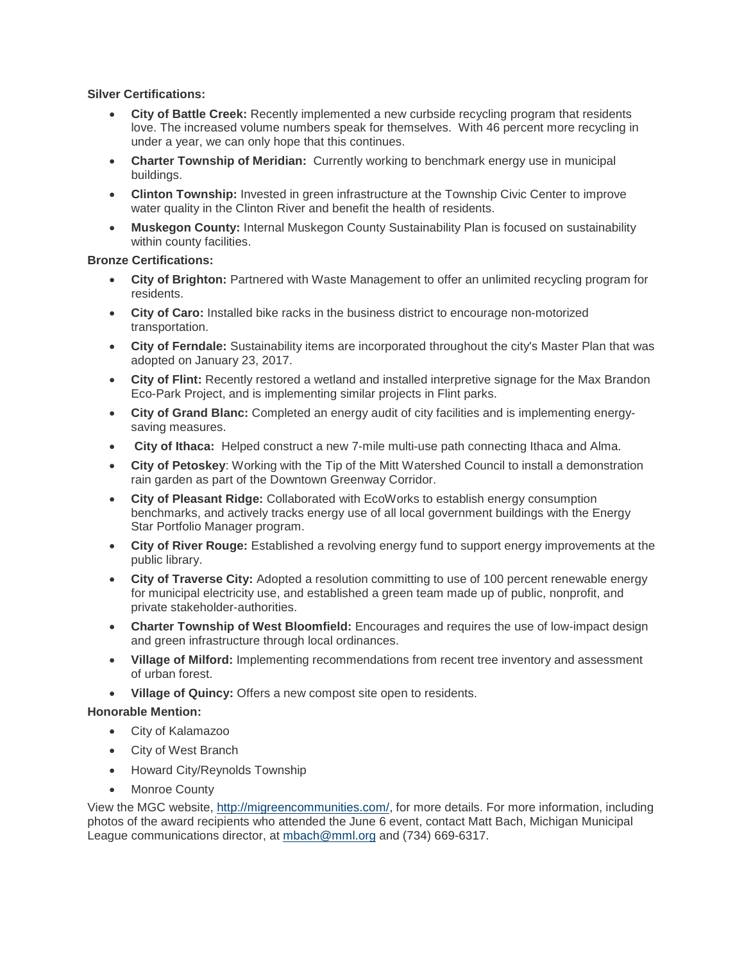### **Silver Certifications:**

- **City of Battle Creek:** Recently implemented a new curbside recycling program that residents love. The increased volume numbers speak for themselves. With 46 percent more recycling in under a year, we can only hope that this continues.
- **Charter Township of Meridian:** Currently working to benchmark energy use in municipal buildings.
- **Clinton Township:** Invested in green infrastructure at the Township Civic Center to improve water quality in the Clinton River and benefit the health of residents.
- **Muskegon County:** Internal Muskegon County Sustainability Plan is focused on sustainability within county facilities.

### **Bronze Certifications:**

- **City of Brighton:** Partnered with Waste Management to offer an unlimited recycling program for residents.
- **City of Caro:** Installed bike racks in the business district to encourage non-motorized transportation.
- **City of Ferndale:** Sustainability items are incorporated throughout the city's Master Plan that was adopted on January 23, 2017.
- **City of Flint:** Recently restored a wetland and installed interpretive signage for the Max Brandon Eco-Park Project, and is implementing similar projects in Flint parks.
- **City of Grand Blanc:** Completed an energy audit of city facilities and is implementing energysaving measures.
- **City of Ithaca:** Helped construct a new 7-mile multi-use path connecting Ithaca and Alma.
- **City of Petoskey**: Working with the Tip of the Mitt Watershed Council to install a demonstration rain garden as part of the Downtown Greenway Corridor.
- **City of Pleasant Ridge:** Collaborated with EcoWorks to establish energy consumption benchmarks, and actively tracks energy use of all local government buildings with the Energy Star Portfolio Manager program.
- **City of River Rouge:** Established a revolving energy fund to support energy improvements at the public library.
- **City of Traverse City:** Adopted a resolution committing to use of 100 percent renewable energy for municipal electricity use, and established a green team made up of public, nonprofit, and private stakeholder-authorities.
- **Charter Township of West Bloomfield:** Encourages and requires the use of low-impact design and green infrastructure through local ordinances.
- **Village of Milford:** Implementing recommendations from recent tree inventory and assessment of urban forest.
- **Village of Quincy:** Offers a new compost site open to residents.

## **Honorable Mention:**

- City of Kalamazoo
- City of West Branch
- Howard City/Reynolds Township
- Monroe County

View the MGC website, [http://migreencommunities.com/,](http://migreencommunities.com/) for more details. For more information, including photos of the award recipients who attended the June 6 event, contact Matt Bach, Michigan Municipal League communications director, at [mbach@mml.org](mailto:mbach@mml.org) and (734) 669-6317.